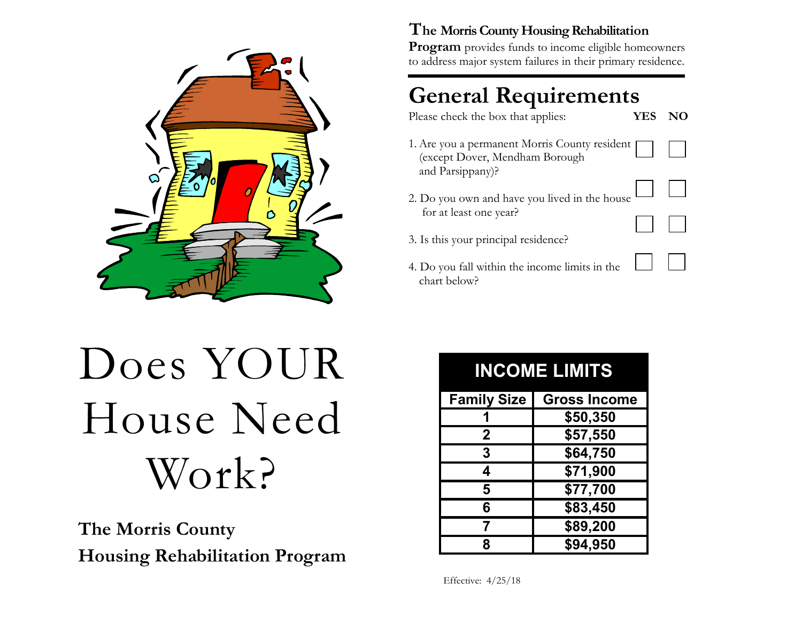

#### The Morris County Housing Rehabilitation

Program provides funds to income eligible homeowners to address major system failures in their primary residence.

## General Requirements

Please check the box that applies:

YES NO

- 1. Are you a permanent Morris County resident (except Dover, Mendham Borough and Parsippany)?
- 2. Do you own and have you lived in the house for at least one year?
- 3. Is this your principal residence?
- 4. Do you fall within the income limits in the chart below?

# Does YOUR House Need Work?

The Morris County Housing Rehabilitation Program

| <b>INCOME LIMITS</b> |                     |
|----------------------|---------------------|
| <b>Family Size</b>   | <b>Gross Income</b> |
|                      | \$50,350            |
| $\mathbf{2}$         | \$57,550            |
| 3                    | \$64,750            |
| 4                    | \$71,900            |
| 5                    | \$77,700            |
| 6                    | \$83,450            |
| 7                    | \$89,200            |
| R                    | \$94,950            |